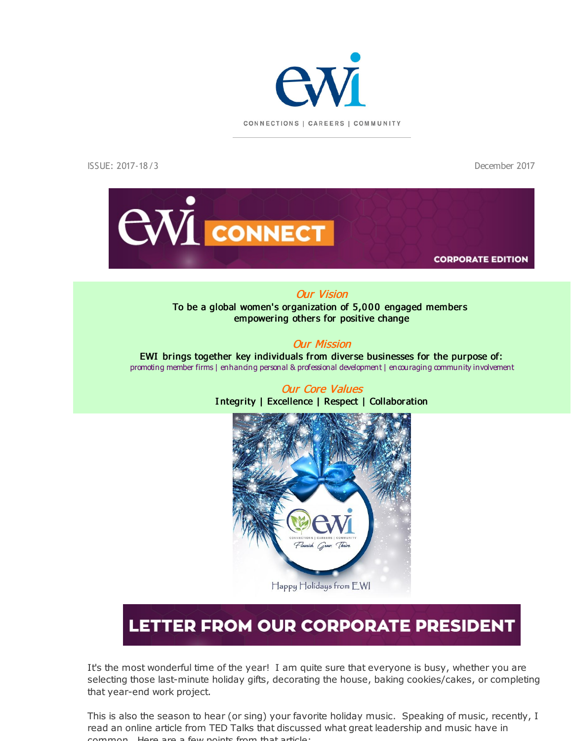

ISSUE: 2017-18/3 December 2017



#### Our Vision

To be a global women's organization of 5,000 engaged members empowering others for positive change

#### Our Mission

EWI brings together key individuals from diverse businesses for the purpose of: promoting member firms | enhancing personal & professional development | encouraging community involvement



Our Core Values I ntegrity | Excellence | Respect | Collaboration

## LETTER FROM OUR CORPORATE PRESIDENT

It's the most wonderful time of the year! I am quite sure that everyone is busy, whether you are selecting those last-minute holiday gifts, decorating the house, baking cookies/cakes, or completing that year-end work project.

This is also the season to hear (or sing) your favorite holiday music. Speaking of music, recently, I read an online article from TED Talks that discussed what great leadership and music have in common. Here are a few points from that article: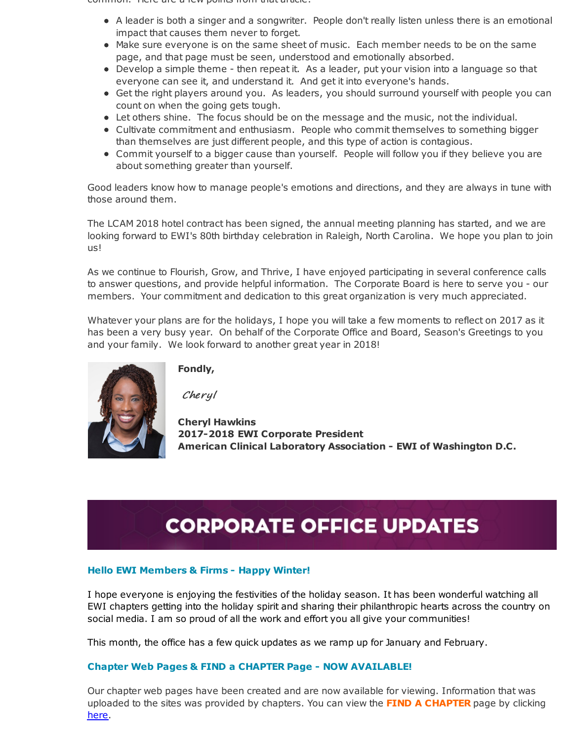common. Here are a few points from that article:

- A leader is both a singer and a songwriter. People don't really listen unless there is an emotional impact that causes them never to forget.
- Make sure everyone is on the same sheet of music. Each member needs to be on the same page, and that page must be seen, understood and emotionally absorbed.
- Develop a simple theme then repeat it. As a leader, put your vision into a language so that everyone can see it, and understand it. And get it into everyone's hands.
- Get the right players around you. As leaders, you should surround yourself with people you can count on when the going gets tough.
- Let others shine. The focus should be on the message and the music, not the individual.
- Cultivate commitment and enthusiasm. People who commit themselves to something bigger than themselves are just different people, and this type of action is contagious.
- Commit yourself to a bigger cause than yourself. People will follow you if they believe you are about something greater than yourself.

Good leaders know how to manage people's emotions and directions, and they are always in tune with those around them.

The LCAM 2018 hotel contract has been signed, the annual meeting planning has started, and we are looking forward to EWI's 80th birthday celebration in Raleigh, North Carolina. We hope you plan to join us!

As we continue to Flourish, Grow, and Thrive, I have enjoyed participating in several conference calls to answer questions, and provide helpful information. The Corporate Board is here to serve you - our members. Your commitment and dedication to this great organization is very much appreciated.

Whatever your plans are for the holidays, I hope you will take a few moments to reflect on 2017 as it has been a very busy year. On behalf of the Corporate Office and Board, Season's Greetings to you and your family. We look forward to another great year in 2018!



**Fondly,**

Cheryl

**Cheryl Hawkins 2017-2018 EWI Corporate President American Clinical Laboratory Association - EWI of Washington D.C.**

## **CORPORATE OFFICE UPDATES**

#### **Hello EWI Members & Firms - Happy Winter!**

I hope everyone is enjoying the festivities of the holiday season. It has been wonderful watching all EWI chapters getting into the holiday spirit and sharing their philanthropic hearts across the country on social media. I am so proud of all the work and effort you all give your communities!

This month, the office has a few quick updates as we ramp up for January and February.

#### **Chapter Web Pages & FIND a CHAPTER Page - NOW AVAILABLE!**

Our chapter web pages have been created and are now available for viewing. Information that was uploaded to the sites was provided by chapters. You can view the **FIND A CHAPTER** page by clicking [here](http://r20.rs6.net/tn.jsp?f=0014fgcc4b0ipzmmmwaBBdwbp2-Z6Zw6qkUlmhl9GmLlRpQye0Xf-usgUIn9mZF8rNe6IP-ONouZOpkRlTSgT8XgQ0iIoqAJQOkqe3mRhMdnaAAKDZWsUGh3uXi2cGbq7Rja1VwCRuwOAlkRYj_y26pOYYPFpixewnQ9Gqv6lE6yZA7kSREbpXiuGyuZjkqtxIXTUvQl2d_FfPyzUwoW_mjnQ==&c=&ch=).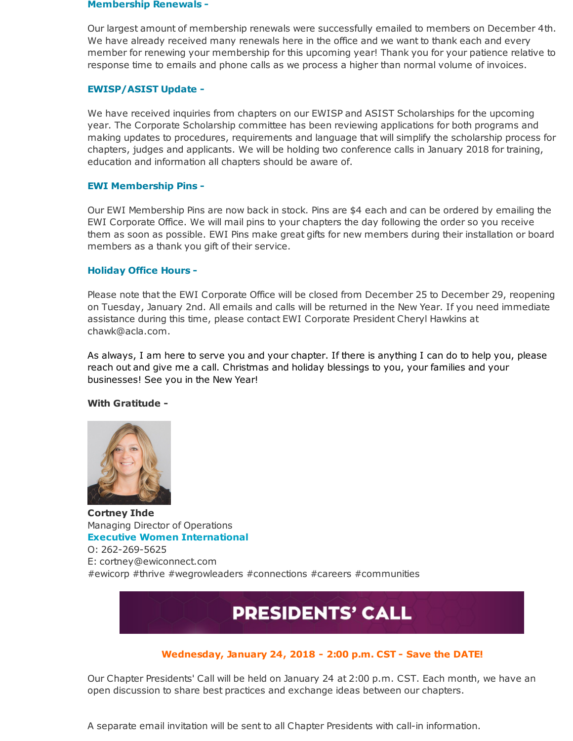#### **Membership Renewals -**

Our largest amount of membership renewals were successfully emailed to members on December 4th. We have already received many renewals here in the office and we want to thank each and every member for renewing your membership for this upcoming year! Thank you for your patience relative to response time to emails and phone calls as we process a higher than normal volume of invoices.

#### **EWISP/ASIST Update -**

We have received inquiries from chapters on our EWISP and ASIST Scholarships for the upcoming year. The Corporate Scholarship committee has been reviewing applications for both programs and making updates to procedures, requirements and language that will simplify the scholarship process for chapters, judges and applicants. We will be holding two conference calls in January 2018 for training, education and information all chapters should be aware of.

#### **EWI Membership Pins -**

Our EWI Membership Pins are now back in stock. Pins are \$4 each and can be ordered by emailing the EWI Corporate Office. We will mail pins to your chapters the day following the order so you receive them as soon as possible. EWI Pins make great gifts for new members during their installation or board members as a thank you gift of their service.

#### **Holiday Office Hours -**

Please note that the EWI Corporate Office will be closed from December 25 to December 29, reopening on Tuesday, January 2nd. All emails and calls will be returned in the New Year. If you need immediate assistance during this time, please contact EWI Corporate President Cheryl Hawkins at chawk@acla.com.

As always, I am here to serve you and your chapter. If there is anything I can do to help you, please reach out and give me a call. Christmas and holiday blessings to you, your families and your businesses! See you in the New Year!

#### **With Gratitude -**



**Cortney Ihde** Managing Director of Operations **Executive Women International** O: 262-269-5625 E: cortney@ewiconnect.com #ewicorp #thrive #wegrowleaders #connections #careers #communities

## **PRESIDENTS' CALL**

#### **Wednesday, January 24, 2018 - 2:00 p.m. CST - Save the DATE!**

Our Chapter Presidents' Call will be held on January 24 at 2:00 p.m. CST. Each month, we have an open discussion to share best practices and exchange ideas between our chapters.

A separate email invitation will be sent to all Chapter Presidents with call-in information.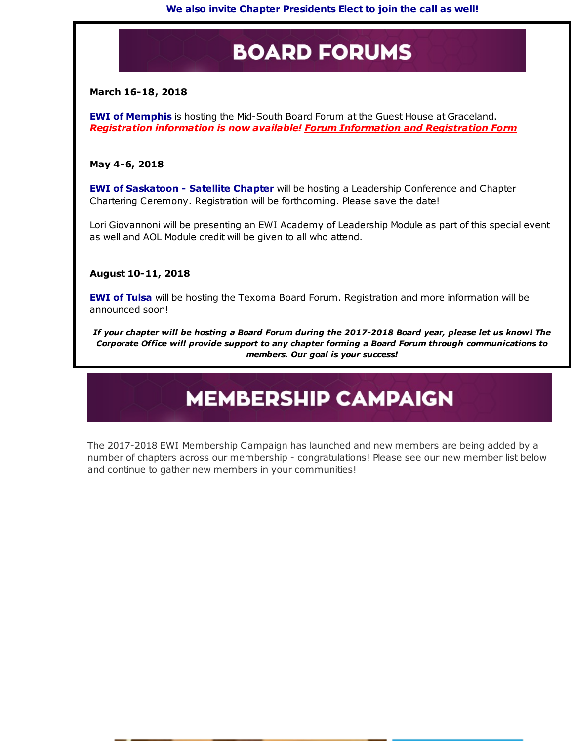## **BOARD FORUMS**

#### **March 16-18, 2018**

**EWI of Memphis** is hosting the Mid-South Board Forum at the Guest House at Graceland. *Registration information is now available! Forum Information and [Registration](http://r20.rs6.net/tn.jsp?f=0014fgcc4b0ipzmmmwaBBdwbp2-Z6Zw6qkUlmhl9GmLlRpQye0Xf-usgdPSkNYwgC7x84VI7b6ZDHSDgOi8Frd9IpenjfXxT-GZ92gb2jjypUqAvMS_BPoV9FMN4GKvqwlLE_4spM1x0ncstFAgy3Y5yVTp_JvQZOwS14hxdIzxW7r9RF2rJKuTT4ZhBc0laYEOzPyLLO_nvHWug4a4I2zXvj95ObyeJjEO_c3mTHPa_VEVPKXKSIv1WwVnuBWk7sTO&c=&ch=) Form*

#### **May 4-6, 2018**

**EWI of Saskatoon - Satellite Chapter** will be hosting a Leadership Conference and Chapter Chartering Ceremony. Registration will be forthcoming. Please save the date!

Lori Giovannoni will be presenting an EWI Academy of Leadership Module as part of this special event as well and AOL Module credit will be given to all who attend.

#### **August 10-11, 2018**

**EWI of Tulsa** will be hosting the Texoma Board Forum. Registration and more information will be announced soon!

If your chapter will be hosting a Board Forum during the 2017-2018 Board year, please let us know! The *Corporate Office will provide support to any chapter forming a Board Forum through communications to members. Our goal is your success!*

## **MEMBERSHIP CAMPAIGN**

The 2017-2018 EWI Membership Campaign has launched and new members are being added by a number of chapters across our membership - congratulations! Please see our new member list below and continue to gather new members in your communities!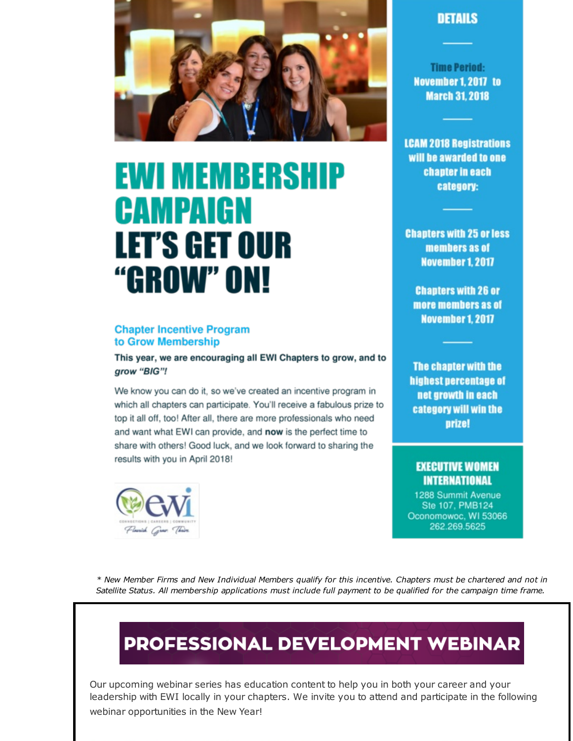

# EWI MEMBERSHIP CAMPAIGN **LET'S GET OUR** "GROW" ON!

#### **Chapter Incentive Program** to Grow Membership

This year, we are encouraging all EWI Chapters to grow, and to grow "BIG"!

We know you can do it, so we've created an incentive program in which all chapters can participate. You'll receive a fabulous prize to top it all off, too! After all, there are more professionals who need and want what EWI can provide, and now is the perfect time to share with others! Good luck, and we look forward to sharing the results with you in April 2018!



### **DETAILS**

**Time Period:** November 1, 2017 to **March 31, 2018** 

**LCAM 2018 Registrations** will be awarded to one chapter in each category:

**Chapters with 25 or less** members as of November 1, 2017

**Chapters with 26 or** more members as of **November 1, 2017** 

The chapter with the highest percentage of net growth in each category will win the **prize!** 

#### **EXECUTIVE WOMEN INTERNATIONAL**

1288 Summit Avenue Ste 107, PMB124 Oconomowoc, WI 53066 262.269.5625

\* New Member Firms and New Individual Members qualify for this incentive. Chapters must be chartered and not in Satellite Status. All membership applications must include full payment to be qualified for the campaign time frame.

## PROFESSIONAL DEVELOPMENT WEBINAR

Our upcoming webinar series has education content to help you in both your career and your leadership with EWI locally in your chapters. We invite you to attend and participate in the following webinar opportunities in the New Year!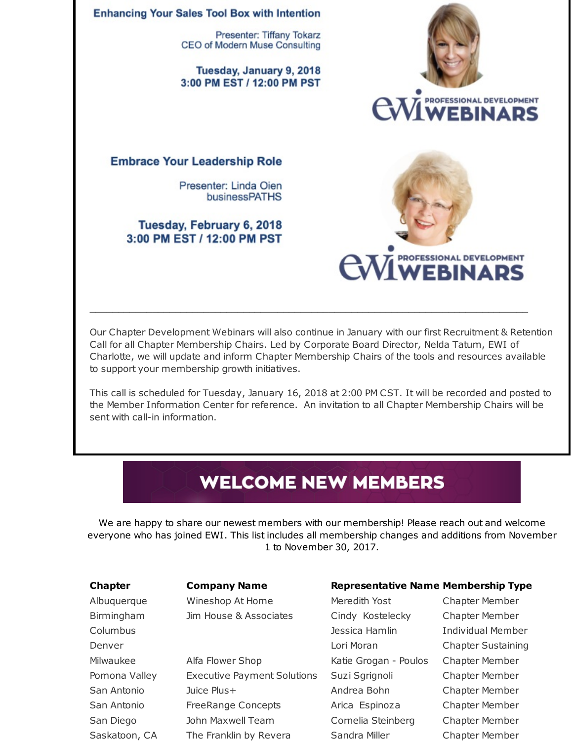

Our Chapter Development Webinars will also continue in January with our first Recruitment & Retention Call for all Chapter Membership Chairs. Led by Corporate Board Director, Nelda Tatum, EWI of Charlotte, we will update and inform Chapter Membership Chairs of the tools and resources available to support your membership growth initiatives.

\_\_\_\_\_\_\_\_\_\_\_\_\_\_\_\_\_\_\_\_\_\_\_\_\_\_\_\_\_\_\_\_\_\_\_\_\_\_\_\_\_\_\_\_\_\_\_\_\_\_\_\_\_\_\_\_\_\_\_\_\_\_\_\_\_\_\_\_\_\_\_\_\_\_\_\_\_

This call is scheduled for Tuesday, January 16, 2018 at 2:00 PM CST. It will be recorded and posted to the Member Information Center for reference. An invitation to all Chapter Membership Chairs will be sent with call-in information.

## **WELCOME NEW MEMBERS**

We are happy to share our newest members with our membership! Please reach out and welcome everyone who has joined EWI. This list includes all membership changes and additions from November 1 to November 30, 2017.

Albuquerque Mineshop At Home Meredith Yost Chapter Member Birmingham Jim House & Associates Cindy Kostelecky Chapter Member

Milwaukee **Alfa Flower Shop Katie Grogan - Poulos** Chapter Member Pomona Valley Executive Payment Solutions Suzi Sgrignoli Chapter Member San Antonio Juice Plus+ Andrea Bohn Chapter Member San Antonio FreeRange Concepts Arica Espinoza Chapter Member San Diego John Maxwell Team Cornelia Steinberg Chapter Member

#### **Chapter Company Name Representative Name Membership Type**

Columbus Jessica Hamlin Individual Member Denver Lori Moran Chapter Sustaining Saskatoon, CA The Franklin by Revera Sandra Miller Chapter Member